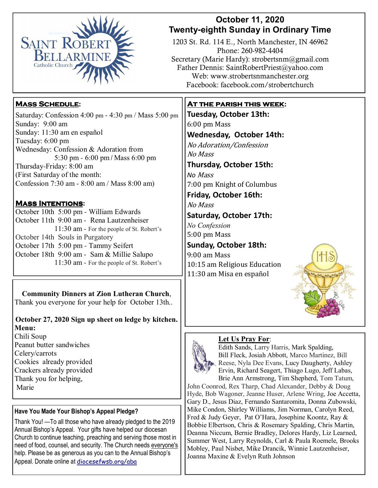

## **October 11, 2020 Twenty-eighth Sunday in Ordinary Time**

1203 St. Rd. 114 E., North Manchester, IN 46962 Phone: 260-982-4404 Secretary (Marie Hardy): strobertsnm@gmail.com Father Dennis: SaintRobertPriest@yahoo.com Web: www.strobertsnmanchester.org Facebook: facebook.com/strobertchurch

# **Mass Schedule:**

Saturday: Confession 4:00 pm - 4:30 pm / Mass 5:00 pm Sunday: 9:00 am Sunday: 11:30 am en español Tuesday: 6:00 pm Wednesday: Confession & Adoration from 5:30 pm - 6:00 pm / Mass 6:00 pm Thursday-Friday: 8:00 am (First Saturday of the month: Confession 7:30 am - 8:00 am / Mass 8:00 am)

## **Mass Intentions:**

October 10th 5:00 pm - William Edwards October 11th 9:00 am - Rena Lautzenheiser 11:30 am - For the people of St. Robert's October 14th Souls in Purgatory October 17th 5:00 pm - Tammy Seifert October 18th 9:00 am - Sam & Millie Salupo 11:30 am - For the people of St. Robert's

**Community Dinners at Zion Lutheran Church**, Thank you everyone for your help for October 13th..

## **October 27, 2020 Sign up sheet on ledge by kitchen. Menu:**

Chili Soup Peanut butter sandwiches Celery/carrots Cookies already provided Crackers already provided Thank you for helping, Marie

#### **Have You Made Your Bishop's Appeal Pledge?**

Thank You! —To all those who have already pledged to the 2019 Annual Bishop's Appeal. Your gifts have helped our diocesan Church to continue teaching, preaching and serving those most in need of food, counsel, and security. The Church needs everyone's help. Please be as generous as you can to the Annual Bishop's Appeal. Donate online at diocesefwsb.org/aba

# **At the parish this week:**

**Tuesday, October 13th:**  6:00 pm Mass **Wednesday, October 14th:** No Adoration/Confession No Mass **Thursday, October 15th:**  *No* Mass 7:00 pm Knight of Columbus **Friday, October 16th:** 

No Mass 

**Saturday, October 17th:** 

*No Confession*  5:00 pm Mass

**Sunday, October 18th:** 9:00 am Mass  $\left(\begin{array}{c} \end{array}\right)$ 10:15 am Religious Education 11:30 am Misa en español 



#### **Let Us Pray For**:



Edith Sands, Larry Harris, Mark Spalding, Bill Fleck, Josiah Abbott, Marco Martinez, Bill Reese, Nyla Dee Evans, Lucy Daugherty, Ashley Ervin, Richard Seagert, Thiago Lugo, Jeff Labas, Brie Ann Armstrong, Tim Shepherd, Tom Tatum,

John Coonrod, Rex Tharp, Chad Alexander, Debby & Doug Hyde, Bob Wagoner, Jeanne Huser, Arlene Wring, Joe Accetta, Gary D., Jesus Diaz, Fernando Santaromita, Donna Zubowski, Mike Condon, Shirley Williams, Jim Norman, Carolyn Reed, Fred & Judy Geyer, Pat O'Hara, Josephine Koontz, Ray & Bobbie Elbertson, Chris & Rosemary Spalding, Chris Martin, Deanna Niccum, Bernie Bradley, Delores Hardy, Liz Learned, Summer West, Larry Reynolds, Carl & Paula Roemele, Brooks Mobley, Paul Nisbet, Mike Drancik, Winnie Lautzenheiser, Joanna Maxine & Evelyn Ruth Johnson